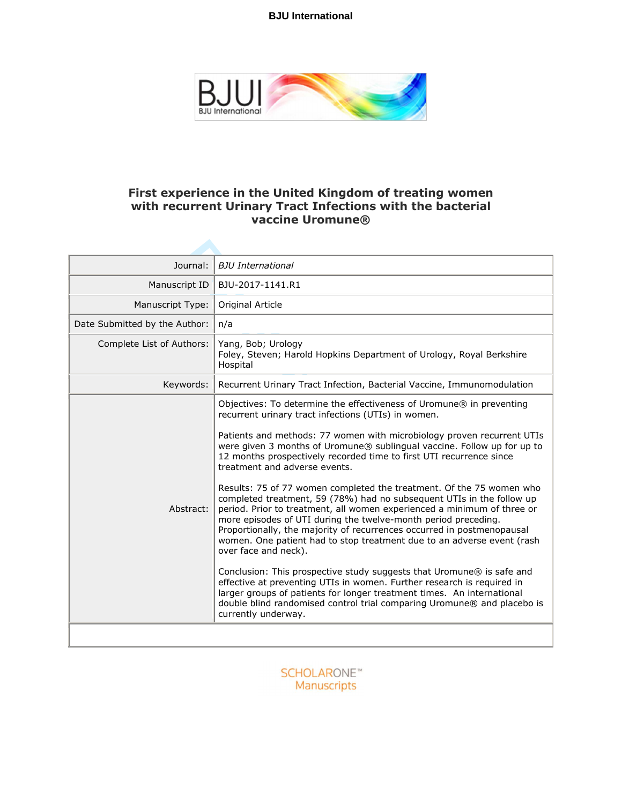

# **First experience in the United Kingdom of treating women with recurrent Urinary Tract Infections with the bacterial vaccine Uromune®**

| Journal:                      | <b>BJU</b> International                                                                                                                                                                                                                                                                                                                                                                                                                                                                                                                                                                                                                                                                                                                                                                                                                                                                                                                                                                                                                                                                                                                                                                          |
|-------------------------------|---------------------------------------------------------------------------------------------------------------------------------------------------------------------------------------------------------------------------------------------------------------------------------------------------------------------------------------------------------------------------------------------------------------------------------------------------------------------------------------------------------------------------------------------------------------------------------------------------------------------------------------------------------------------------------------------------------------------------------------------------------------------------------------------------------------------------------------------------------------------------------------------------------------------------------------------------------------------------------------------------------------------------------------------------------------------------------------------------------------------------------------------------------------------------------------------------|
| Manuscript ID                 | BJU-2017-1141.R1                                                                                                                                                                                                                                                                                                                                                                                                                                                                                                                                                                                                                                                                                                                                                                                                                                                                                                                                                                                                                                                                                                                                                                                  |
| Manuscript Type:              | Original Article                                                                                                                                                                                                                                                                                                                                                                                                                                                                                                                                                                                                                                                                                                                                                                                                                                                                                                                                                                                                                                                                                                                                                                                  |
| Date Submitted by the Author: | n/a                                                                                                                                                                                                                                                                                                                                                                                                                                                                                                                                                                                                                                                                                                                                                                                                                                                                                                                                                                                                                                                                                                                                                                                               |
| Complete List of Authors:     | Yang, Bob; Urology<br>Foley, Steven; Harold Hopkins Department of Urology, Royal Berkshire<br>Hospital                                                                                                                                                                                                                                                                                                                                                                                                                                                                                                                                                                                                                                                                                                                                                                                                                                                                                                                                                                                                                                                                                            |
| Keywords:                     | Recurrent Urinary Tract Infection, Bacterial Vaccine, Immunomodulation                                                                                                                                                                                                                                                                                                                                                                                                                                                                                                                                                                                                                                                                                                                                                                                                                                                                                                                                                                                                                                                                                                                            |
| Abstract:                     | Objectives: To determine the effectiveness of Uromune® in preventing<br>recurrent urinary tract infections (UTIs) in women.<br>Patients and methods: 77 women with microbiology proven recurrent UTIs<br>were given 3 months of Uromune® sublingual vaccine. Follow up for up to<br>12 months prospectively recorded time to first UTI recurrence since<br>treatment and adverse events.<br>Results: 75 of 77 women completed the treatment. Of the 75 women who<br>completed treatment, 59 (78%) had no subsequent UTIs in the follow up<br>period. Prior to treatment, all women experienced a minimum of three or<br>more episodes of UTI during the twelve-month period preceding.<br>Proportionally, the majority of recurrences occurred in postmenopausal<br>women. One patient had to stop treatment due to an adverse event (rash<br>over face and neck).<br>Conclusion: This prospective study suggests that Uromune® is safe and<br>effective at preventing UTIs in women. Further research is required in<br>larger groups of patients for longer treatment times. An international<br>double blind randomised control trial comparing Uromune® and placebo is<br>currently underway. |
|                               |                                                                                                                                                                                                                                                                                                                                                                                                                                                                                                                                                                                                                                                                                                                                                                                                                                                                                                                                                                                                                                                                                                                                                                                                   |

**SCHOLARONE™** Manuscripts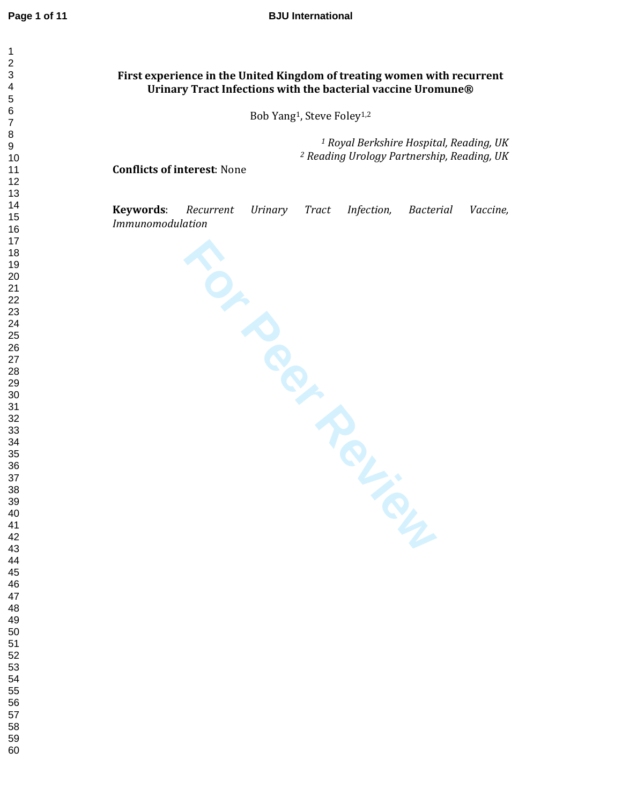# **First experience in the United Kingdom of treating women with recurrent Urinary Tract Infections with the bacterial vaccine Uromune®**

Bob Yang <sup>1</sup>, Steve Foley1,2

 *Royal Berkshire Hospital, Reading, UK Reading Urology Partnership, Reading, UK* 

#### **Conflicts of interest**: None

**Keywords**: *Recurrent Urinary Tract Infection, Bacterial Vaccine, Immunomodulation*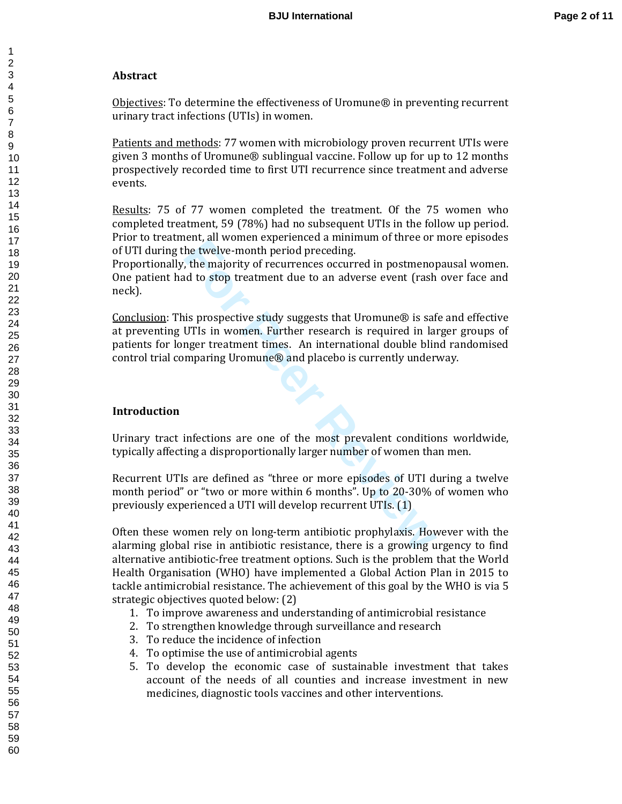# **Abstract**

Objectives: To determine the effectiveness of Uromune® in preventing recurrent urinary tract infections (UTIs) in women.

Patients and methods: 77 women with microbiology proven recurrent UTIs were given 3 months of Uromune® sublingual vaccine. Follow up for up to 12 months prospectively recorded time to first UTI recurrence since treatment and adverse events.

Results: 75 of 77 women completed the treatment. Of the 75 women who completed treatment, 59 (78%) had no subsequent UTIs in the follow up period. Prior to treatment, all women experienced a minimum of three or more episodes of UTI during the twelve-month period preceding.

Proportionally, the majority of recurrences occurred in postmenopausal women. One patient had to stop treatment due to an adverse event (rash over face and neck).

For a momen experienced a ummann or ance or<br>
he twelve-month period preceding.<br>
In the twelve-month period preceding.<br>
It is prospective study suggests that Uromune® is safted to stop treatment due to an adverse event (ras Conclusion: This prospective study suggests that Uromune® is safe and effective at preventing UTIs in women. Further research is required in larger groups of patients for longer treatment times. An international double blind randomised control trial comparing Uromune® and placebo is currently underway.

# **Introduction**

Urinary tract infections are one of the most prevalent conditions worldwide, typically affecting a disproportionally larger number of women than men.

Recurrent UTIs are defined as "three or more episodes of UTI during a twelve month period" or "two or more within 6 months". Up to 20-30% of women who previously experienced a UTI will develop recurrent UTIs. (1)

Often these women rely on long-term antibiotic prophylaxis. However with the alarming global rise in antibiotic resistance, there is a growing urgency to find alternative antibiotic-free treatment options. Such is the problem that the World Health Organisation (WHO) have implemented a Global Action Plan in 2015 to tackle antimicrobial resistance. The achievement of this goal by the WHO is via 5 strategic objectives quoted below: (2)

- 1. To improve awareness and understanding of antimicrobial resistance
- 2. To strengthen knowledge through surveillance and research
- 3. To reduce the incidence of infection
- 4. To optimise the use of antimicrobial agents
- 5. To develop the economic case of sustainable investment that takes account of the needs of all counties and increase investment in new medicines, diagnostic tools vaccines and other interventions.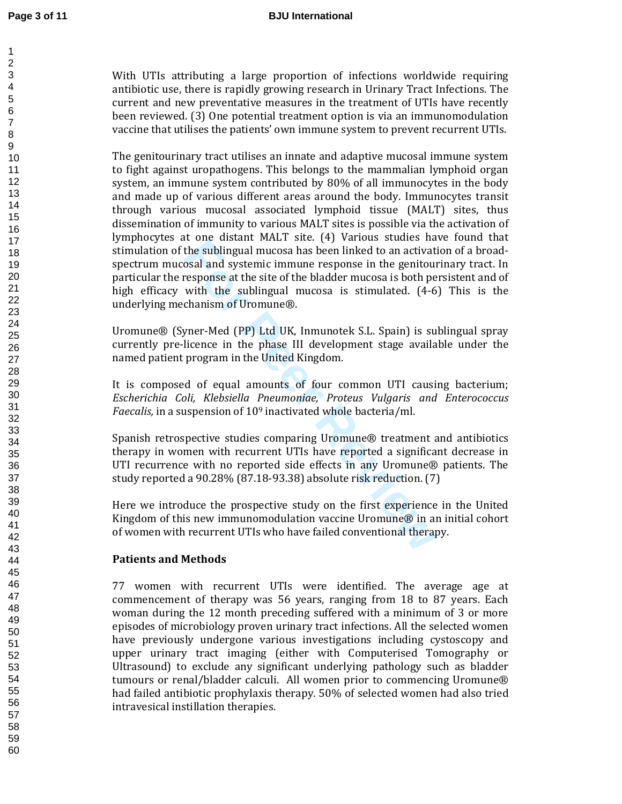With UTIs attributing a large proportion of infections worldwide requiring antibiotic use, there is rapidly growing research in Urinary Tract Infections. The current and new preventative measures in the treatment of UTIs have recently been reviewed. (3) One potential treatment option is via an immunomodulation vaccine that utilises the patients' own immune system to prevent recurrent UTIs.

increasting that the sublingual mucosa has been linked to an activat<br>the sublingual mucosa has been linked to an activat<br>osal and systemic immune response in the genitour<br>response at the site of the bladder mucosa is both The genitourinary tract utilises an innate and adaptive mucosal immune system to fight against uropathogens. This belongs to the mammalian lymphoid organ system, an immune system contributed by 80% of all immunocytes in the body and made up of various different areas around the body. Immunocytes transit through various mucosal associated lymphoid tissue (MALT) sites, thus dissemination of immunity to various MALT sites is possible via the activation of lymphocytes at one distant MALT site. (4) Various studies have found that stimulation of the sublingual mucosa has been linked to an activation of a broadspectrum mucosal and systemic immune response in the genitourinary tract. In particular the response at the site of the bladder mucosa is both persistent and of high efficacy with the sublingual mucosa is stimulated. (4-6) This is the underlying mechanism of Uromune®.

Uromune® (Syner-Med (PP) Ltd UK, Inmunotek S.L. Spain) is sublingual spray currently pre-licence in the phase III development stage available under the named patient program in the United Kingdom.

It is composed of equal amounts of four common UTI causing bacterium; *Escherichia Coli, Klebsiella Pneumoniae, Proteus Vulgaris and Enterococcus Faecalis,* in a suspension of 10 <sup>9</sup> inactivated whole bacteria/ml.

Spanish retrospective studies comparing Uromune® treatment and antibiotics therapy in women with recurrent UTIs have reported a significant decrease in UTI recurrence with no reported side effects in any Uromune® patients. The study reported a 90.28% (87.18-93.38) absolute risk reduction. (7)

Here we introduce the prospective study on the first experience in the United Kingdom of this new immunomodulation vaccine Uromune® in an initial cohort of women with recurrent UTIs who have failed conventional therapy.

# **Patients and Methods**

77 women with recurrent UTIs were identified. The average age at commencement of therapy was 56 years, ranging from 18 to 87 years. Each woman during the 12 month preceding suffered with a minimum of 3 or more episodes of microbiology proven urinary tract infections. All the selected women have previously undergone various investigations including cystoscopy and upper urinary tract imaging (either with Computerised Tomography or Ultrasound) to exclude any significant underlying pathology such as bladder tumours or renal/bladder calculi. All women prior to commencing Uromune® had failed antibiotic prophylaxis therapy. 50% of selected women had also tried intravesical instillation therapies.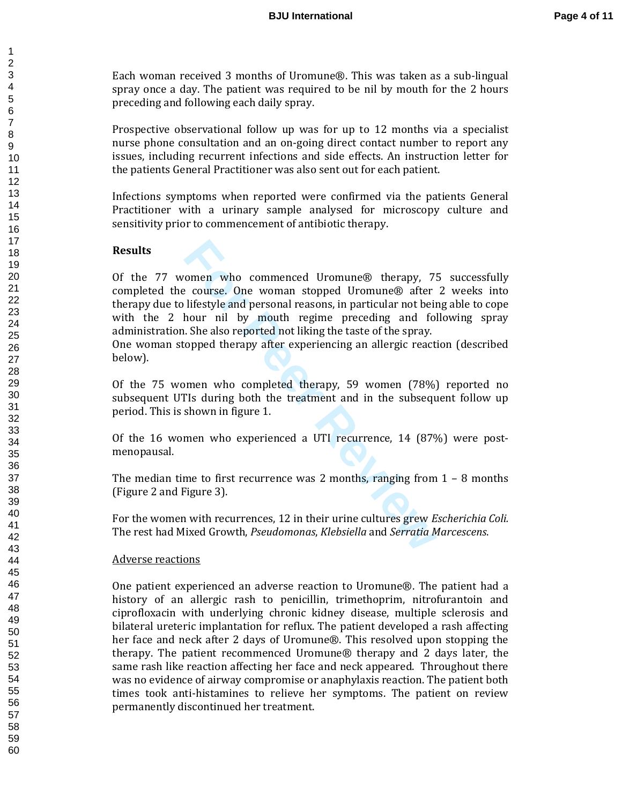Each woman received 3 months of Uromune®. This was taken as a sub-lingual spray once a day. The patient was required to be nil by mouth for the 2 hours preceding and following each daily spray.

Prospective observational follow up was for up to 12 months via a specialist nurse phone consultation and an on-going direct contact number to report any issues, including recurrent infections and side effects. An instruction letter for the patients General Practitioner was also sent out for each patient.

Infections symptoms when reported were confirmed via the patients General Practitioner with a urinary sample analysed for microscopy culture and sensitivity prior to commencement of antibiotic therapy.

### **Results**

romen who commenced Uromune® therapy, 7:<br>
For example Commenced Uromune® after<br>
lifestyle and personal reasons, in particular not bein<br>
hour nil by mouth regime preceding and fol<br>
I. She also reported not liking the taste Of the 77 women who commenced Uromune® therapy, 75 successfully completed the course. One woman stopped Uromune® after 2 weeks into therapy due to lifestyle and personal reasons, in particular not being able to cope with the 2 hour nil by mouth regime preceding and following spray administration. She also reported not liking the taste of the spray.

One woman stopped therapy after experiencing an allergic reaction (described below).

Of the 75 women who completed therapy, 59 women (78%) reported no subsequent UTIs during both the treatment and in the subsequent follow up period. This is shown in figure 1.

Of the 16 women who experienced a UTI recurrence, 14 (87%) were postmenopausal.

The median time to first recurrence was 2 months, ranging from  $1 - 8$  months (Figure 2 and Figure 3).

For the women with recurrences, 12 in their urine cultures grew *Escherichia Coli.* The rest had Mixed Growth, *Pseudomonas*, *Klebsiella* and *Serratia Marcescens*.

#### Adverse reactions

One patient experienced an adverse reaction to Uromune®. The patient had a history of an allergic rash to penicillin, trimethoprim, nitrofurantoin and ciprofloxacin with underlying chronic kidney disease, multiple sclerosis and bilateral ureteric implantation for reflux. The patient developed a rash affecting her face and neck after 2 days of Uromune®. This resolved upon stopping the therapy. The patient recommenced Uromune® therapy and 2 days later, the same rash like reaction affecting her face and neck appeared. Throughout there was no evidence of airway compromise or anaphylaxis reaction. The patient both times took anti-histamines to relieve her symptoms. The patient on review permanently discontinued her treatment.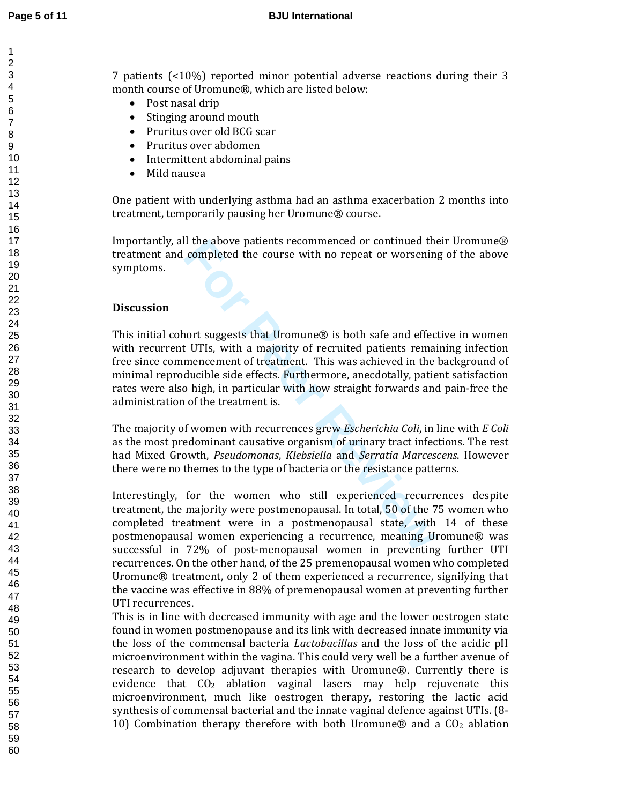7 patients (<10%) reported minor potential adverse reactions during their 3 month course of Uromune®, which are listed below:<br>● Post nasal drip

- 
- 
- Stinging around mouth<br>• Pruritus over old BCG scar
- 
- Pruritus over abdomen<br>• Intermittent abdominal pains<br>• Mild nausea
- 

One patient with underlying asthma had an asthma exacerbation 2 months into treatment, temporarily pausing her Uromune® course.

Importantly, all the above patients recommenced or continued their Uromune® treatment and completed the course with no repeat or worsening of the above symptoms.

### **Discussion**

If the above patients recommenced or continued the<br>completed the course with no repeat or worsenin<br>mencement of treatment. This was achieved in the<br>ducible side effects. Furthermore, anecdotally, patie<br>o high, in particula This initial cohort suggests that Uromune® is both safe and effective in women with recurrent UTIs, with a majority of recruited patients remaining infection free since commencement of treatment. This was achieved in the background of minimal reproducible side effects. Furthermore, anecdotally, patient satisfaction rates were also high, in particular with how straight forwards and pain-free the administration of the treatment is.

The majority of women with recurrences grew *Escherichia Coli*, in line with *E Coli*  as the most predominant causative organism of urinary tract infections *.* The rest had Mixed Growth, *Pseudomonas*, *Klebsiella* and *Serratia Marcescens*. However there were no themes to the type of bacteria or the resistance patterns.

Interestingly, for the women who still experienced recurrences despite treatment, the majority were postmenopausal. In total, 50 of the 75 women who completed treatment were in a postmenopausal state, with 14 of these postmenopausal women experiencing a recurrence, meaning Uromune® was successful in 72% of post-menopausal women in preventing further UTI recurrences. On the other hand, of the 25 premenopausal women who completed Uromune® treatment, only 2 of them experienced a recurrence, signifying that the vaccine was effective in 88% of premenopausal women at preventing further UTI recurrences.

This is in line with decreased immunity with age and the lower oestrogen state found in women postmenopause and its link with decreased innate immunity via the loss of the commensal bacteria *Lactobacillus* and the loss of the acidic pH microenvironment within the vagina. This could very well be a further avenue of research to develop adjuvant therapies with Uromune®. Currently there is evidence that CO <sup>2</sup> ablation vaginal lasers may help rejuvenate this microenvironment, much like oestrogen therapy, restoring the lactic acid synthesis of commensal bacterial and the innate vaginal defence against UTIs. (8- 10) Combination therapy therefore with both Uromune® and a CO <sup>2</sup> ablation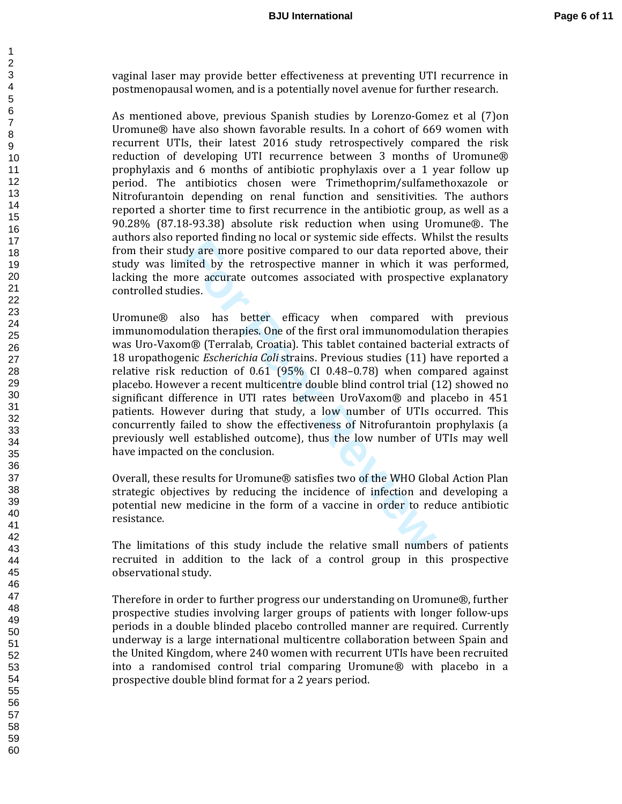vaginal laser may provide better effectiveness at preventing UTI recurrence in postmenopausal women, and is a potentially novel avenue for further research.

As mentioned above, previous Spanish studies by Lorenzo-Gomez et al (7)on Uromune® have also shown favorable results. In a cohort of 669 women with recurrent UTIs, their latest 2016 study retrospectively compared the risk reduction of developing UTI recurrence between 3 months of Uromune® prophylaxis and 6 months of antibiotic prophylaxis over a 1 year follow up period. The antibiotics chosen were Trimethoprim/sulfamethoxazole or Nitrofurantoin depending on renal function and sensitivities. The authors reported a shorter time to first recurrence in the antibiotic group, as well as a 90.28% (87.18-93.38) absolute risk reduction when using Uromune®. The authors also reported finding no local or systemic side effects. Whilst the results from their study are more positive compared to our data reported above, their study was limited by the retrospective manner in which it was performed, lacking the more accurate outcomes associated with prospective explanatory controlled studies.

Forceta maning to becar of systemme state crectes. The protectarial shape that are extended by the retrospective manner in which it wore accurate outcomes associated with prospective lies.<br>Ilso has better efficacy when com Uromune® also has better efficacy when compared with previous immunomodulation therapies. One of the first oral immunomodulation therapies was Uro-Vaxom® (Terralab, Croatia). This tablet contained bacterial extracts of 18 uropathogenic *Escherichia Coli* strains. Previous studies (11) have reported a relative risk reduction of 0.61 (95% CI 0.48–0.78) when compared against placebo. However a recent multicentre double blind control trial (12) showed no significant difference in UTI rates between UroVaxom® and placebo in 451 patients. However during that study, a low number of UTIs occurred. This concurrently failed to show the effectiveness of Nitrofurantoin prophylaxis (a previously well established outcome), thus the low number of UTIs may well have impacted on the conclusion.

Overall, these results for Uromune® satisfies two of the WHO Global Action Plan strategic objectives by reducing the incidence of infection and developing a potential new medicine in the form of a vaccine in order to reduce antibiotic resistance.

The limitations of this study include the relative small numbers of patients recruited in addition to the lack of a control group in this prospective observational study.

Therefore in order to further progress our understanding on Uromune®, further prospective studies involving larger groups of patients with longer follow-ups periods in a double blinded placebo controlled manner are required. Currently underway is a large international multicentre collaboration between Spain and the United Kingdom, where 240 women with recurrent UTIs have been recruited into a randomised control trial comparing Uromune® with placebo in a prospective double blind format for a 2 years period.

 $\mathbf{1}$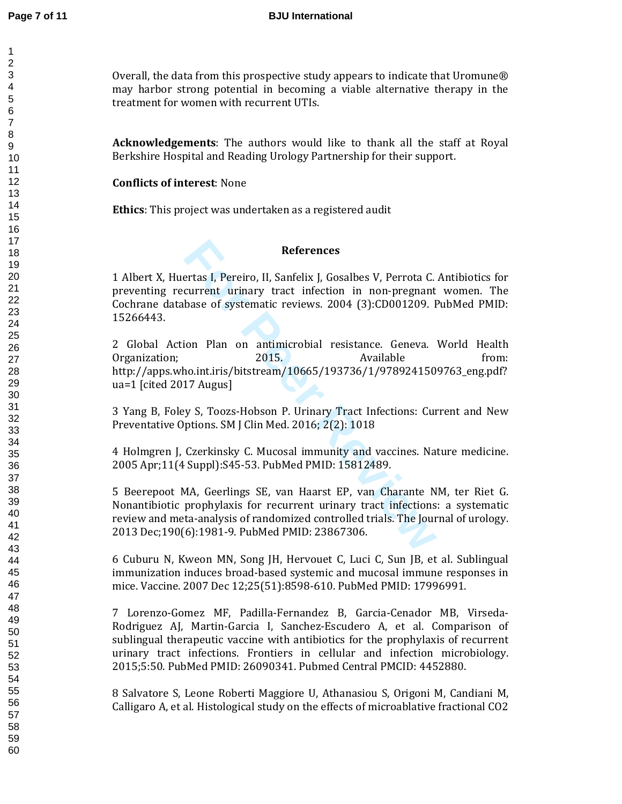Overall, the data from this prospective study appears to indicate that Uromune® may harbor strong potential in becoming a viable alternative therapy in the treatment for women with recurrent UTIs.

**Acknowledgements**: The authors would like to thank all the staff at Royal Berkshire Hospital and Reading Urology Partnership for their support.

## **Conflicts of interest**: None

**Ethics**: This project was undertaken as a registered audit

### **References**

1 Albert X, Huertas I, Pereiro, II, Sanfelix J, Gosalbes V, Perrota C. Antibiotics for preventing recurrent urinary tract infection in non-pregnant women. The Cochrane database of systematic reviews. 2004 (3):CD001209. PubMed PMID: 15266443.

**References**<br> **Formulation Example 12**<br> **Formulation Example 12**<br> **Formulation 12**<br> **Formulation 12014**<br> **Formulation 12014**<br> **Formulation 12015**<br> **Formulation 12015**<br> **Formulation 12015**<br> **Formulation 12015**<br> **Formulation** 2 Global Action Plan on antimicrobial resistance. Geneva. World Health Organization; 2015. Available from: http://apps.who.int.iris/bitstream/10665/193736/1/9789241509763\_eng.pdf? ua=1 [cited 2017 Augus]

3 Yang B, Foley S, Toozs-Hobson P. Urinary Tract Infections: Current and New Preventative Options. SM J Clin Med. 2016; 2(2): 1018

4 Holmgren J, Czerkinsky C. Mucosal immunity and vaccines. Nature medicine. 2005 Apr;11(4 Suppl):S45-53. PubMed PMID: 15812489.

5 Beerepoot MA, Geerlings SE, van Haarst EP, van Charante NM, ter Riet G. Nonantibiotic prophylaxis for recurrent urinary tract infections: a systematic review and meta-analysis of randomized controlled trials. The Journal of urology. 2013 Dec;190(6):1981-9. PubMed PMID: 23867306.

6 Cuburu N, Kweon MN, Song JH, Hervouet C, Luci C, Sun JB, et al. Sublingual immunization induces broad-based systemic and mucosal immune responses in mice. Vaccine. 2007 Dec 12;25(51):8598-610. PubMed PMID: 17996991.

7 Lorenzo-Gomez MF, Padilla-Fernandez B, Garcia-Cenador MB, Virseda-Rodriguez AJ, Martin-Garcia I, Sanchez-Escudero A, et al. Comparison of sublingual therapeutic vaccine with antibiotics for the prophylaxis of recurrent urinary tract infections. Frontiers in cellular and infection microbiology. 2015;5:50. PubMed PMID: 26090341. Pubmed Central PMCID: 4452880.

8 Salvatore S, Leone Roberti Maggiore U, Athanasiou S, Origoni M, Candiani M, Calligaro A, et al. Histological study on the effects of microablative fractional CO2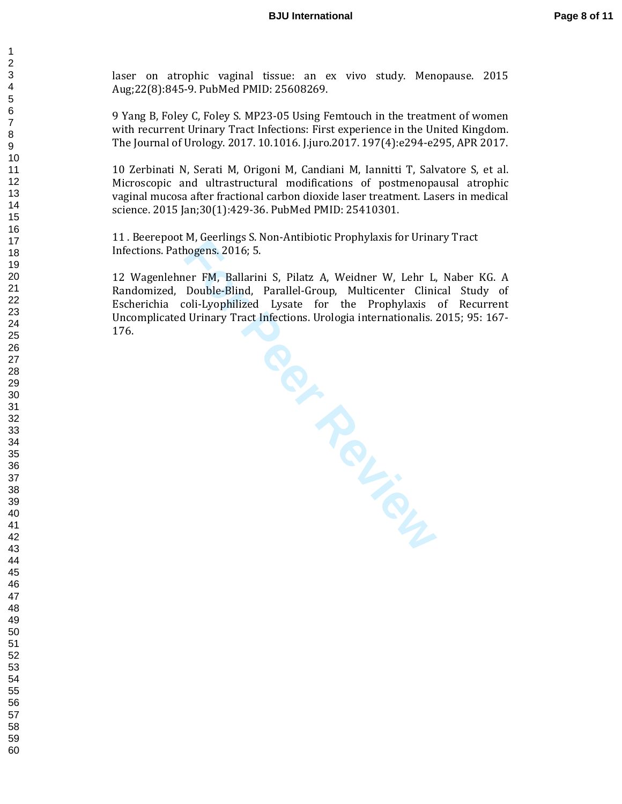laser on atrophic vaginal tissue: an ex vivo study. Menopause. 2015 Aug;22(8):845-9. PubMed PMID: 25608269.

9 Yang B, Foley C, Foley S. MP23-05 Using Femtouch in the treatment of women with recurrent Urinary Tract Infections: First experience in the United Kingdom. The Journal of Urology. 2017. 10.1016. J.juro.2017. 197(4):e294-e295, APR 2017.

10 Zerbinati N, Serati M, Origoni M, Candiani M, Iannitti T, Salvatore S, et al. Microscopic and ultrastructural modifications of postmenopausal atrophic vaginal mucosa after fractional carbon dioxide laser treatment. Lasers in medical science. 2015 Jan;30(1):429-36. PubMed PMID: 25410301.

11 . Beerepoot M, Geerlings S. Non-Antibiotic Prophylaxis for Urinary Tract Infections. Pathogens. 2016; 5.

12 Wagenlehner FM, Ballarini S, Pilatz A, Weidner W, Lehr L, Naber KG. A Randomized, Double-Blind, Parallel-Group, Multicenter Clinical Study of Escherichia coli-Lyophilized Lysate for the Prophylaxis of Recurrent Uncomplicated Urinary Tract Infections. Urologia internationalis. 2015; 95: 167- 176.

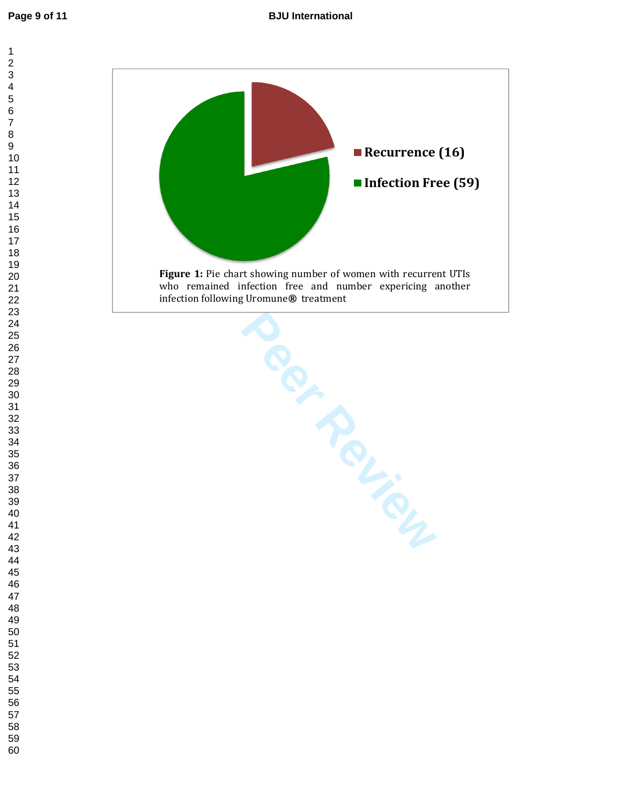$\mathbf{1}$  $\overline{2}$  $\overline{\mathbf{4}}$  $\overline{7}$ 



>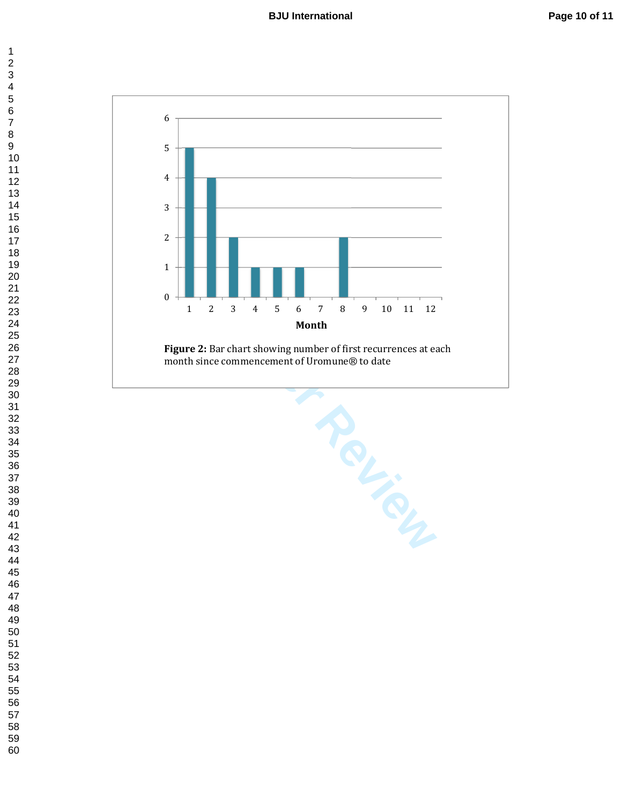